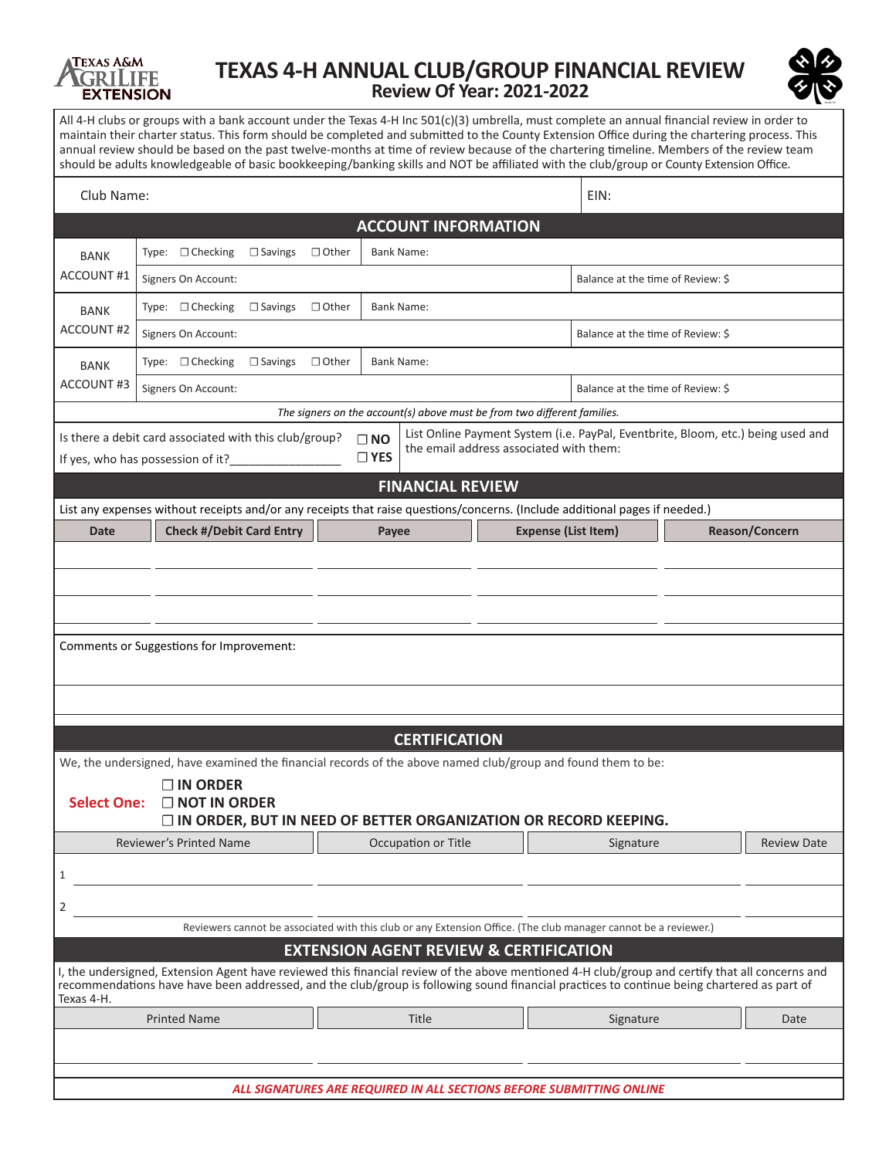

## **TEXAS 4-H ANNUAL CLUB/GROUP FINANCIAL REVIEW Review Of Year: 2021-2022**



All 4-H clubs or groups with a bank account under the Texas 4-H Inc 501(c)(3) umbrella, must complete an annual financial review in order to maintain their charter status. This form should be completed and submitted to the County Extension Office during the chartering process. This annual review should be based on the past twelve-months at time of review because of the chartering timeline. Members of the review team should be adults knowledgeable of basic bookkeeping/banking skills and NOT be affiliated with the club/group or County Extension Office.

| Club Name:                                                                                                                                                                                                                                            |                                                                                                                                                                                                                                                                                               |                                                                                               |                            |           |                                   | EIN:               |                |  |  |  |
|-------------------------------------------------------------------------------------------------------------------------------------------------------------------------------------------------------------------------------------------------------|-----------------------------------------------------------------------------------------------------------------------------------------------------------------------------------------------------------------------------------------------------------------------------------------------|-----------------------------------------------------------------------------------------------|----------------------------|-----------|-----------------------------------|--------------------|----------------|--|--|--|
|                                                                                                                                                                                                                                                       |                                                                                                                                                                                                                                                                                               |                                                                                               | <b>ACCOUNT INFORMATION</b> |           |                                   |                    |                |  |  |  |
| <b>BANK</b>                                                                                                                                                                                                                                           | Type: □ Checking<br>$\Box$ Savings                                                                                                                                                                                                                                                            | $\Box$ Other                                                                                  | <b>Bank Name:</b>          |           |                                   |                    |                |  |  |  |
| <b>ACCOUNT#1</b>                                                                                                                                                                                                                                      | Signers On Account:                                                                                                                                                                                                                                                                           |                                                                                               |                            |           | Balance at the time of Review: \$ |                    |                |  |  |  |
| <b>BANK</b>                                                                                                                                                                                                                                           | Type: $\Box$ Checking<br>$\Box$ Savings                                                                                                                                                                                                                                                       | $\Box$ Other                                                                                  | <b>Bank Name:</b>          |           |                                   |                    |                |  |  |  |
| <b>ACCOUNT#2</b>                                                                                                                                                                                                                                      | Signers On Account:                                                                                                                                                                                                                                                                           |                                                                                               |                            |           | Balance at the time of Review: \$ |                    |                |  |  |  |
| <b>BANK</b>                                                                                                                                                                                                                                           | Type: $\Box$ Checking<br>$\Box$ Savings                                                                                                                                                                                                                                                       | $\Box$ Other<br><b>Bank Name:</b>                                                             |                            |           |                                   |                    |                |  |  |  |
| ACCOUNT#3                                                                                                                                                                                                                                             | Signers On Account:                                                                                                                                                                                                                                                                           |                                                                                               |                            |           | Balance at the time of Review: \$ |                    |                |  |  |  |
| The signers on the account(s) above must be from two different families.                                                                                                                                                                              |                                                                                                                                                                                                                                                                                               |                                                                                               |                            |           |                                   |                    |                |  |  |  |
| List Online Payment System (i.e. PayPal, Eventbrite, Bloom, etc.) being used and<br>Is there a debit card associated with this club/group?<br>$\Box$ NO<br>the email address associated with them:<br>$\Box$ YES<br>If yes, who has possession of it? |                                                                                                                                                                                                                                                                                               |                                                                                               |                            |           |                                   |                    |                |  |  |  |
| <b>FINANCIAL REVIEW</b>                                                                                                                                                                                                                               |                                                                                                                                                                                                                                                                                               |                                                                                               |                            |           |                                   |                    |                |  |  |  |
|                                                                                                                                                                                                                                                       | List any expenses without receipts and/or any receipts that raise questions/concerns. (Include additional pages if needed.)                                                                                                                                                                   |                                                                                               |                            |           |                                   |                    |                |  |  |  |
| <b>Date</b>                                                                                                                                                                                                                                           | <b>Check #/Debit Card Entry</b>                                                                                                                                                                                                                                                               |                                                                                               | Payee                      |           | <b>Expense (List Item)</b>        |                    | Reason/Concern |  |  |  |
|                                                                                                                                                                                                                                                       |                                                                                                                                                                                                                                                                                               |                                                                                               |                            |           |                                   |                    |                |  |  |  |
|                                                                                                                                                                                                                                                       |                                                                                                                                                                                                                                                                                               |                                                                                               |                            |           |                                   |                    |                |  |  |  |
|                                                                                                                                                                                                                                                       |                                                                                                                                                                                                                                                                                               |                                                                                               |                            |           |                                   |                    |                |  |  |  |
| Comments or Suggestions for Improvement:                                                                                                                                                                                                              |                                                                                                                                                                                                                                                                                               |                                                                                               |                            |           |                                   |                    |                |  |  |  |
|                                                                                                                                                                                                                                                       |                                                                                                                                                                                                                                                                                               |                                                                                               |                            |           |                                   |                    |                |  |  |  |
|                                                                                                                                                                                                                                                       |                                                                                                                                                                                                                                                                                               |                                                                                               |                            |           |                                   |                    |                |  |  |  |
|                                                                                                                                                                                                                                                       |                                                                                                                                                                                                                                                                                               |                                                                                               | <b>CERTIFICATION</b>       |           |                                   |                    |                |  |  |  |
|                                                                                                                                                                                                                                                       | We, the undersigned, have examined the financial records of the above named club/group and found them to be:                                                                                                                                                                                  |                                                                                               |                            |           |                                   |                    |                |  |  |  |
|                                                                                                                                                                                                                                                       | $\Box$ IN ORDER                                                                                                                                                                                                                                                                               |                                                                                               |                            |           |                                   |                    |                |  |  |  |
| <b>Select One:</b>                                                                                                                                                                                                                                    | $\Box$ NOT IN ORDER                                                                                                                                                                                                                                                                           |                                                                                               |                            |           |                                   |                    |                |  |  |  |
| Reviewer's Printed Name                                                                                                                                                                                                                               |                                                                                                                                                                                                                                                                                               | $\Box$ IN ORDER, BUT IN NEED OF BETTER ORGANIZATION OR RECORD KEEPING.<br>Occupation or Title |                            | Signature |                                   | <b>Review Date</b> |                |  |  |  |
| 1                                                                                                                                                                                                                                                     |                                                                                                                                                                                                                                                                                               |                                                                                               |                            |           |                                   |                    |                |  |  |  |
|                                                                                                                                                                                                                                                       |                                                                                                                                                                                                                                                                                               |                                                                                               |                            |           |                                   |                    |                |  |  |  |
| 2                                                                                                                                                                                                                                                     |                                                                                                                                                                                                                                                                                               |                                                                                               |                            |           |                                   |                    |                |  |  |  |
|                                                                                                                                                                                                                                                       | Reviewers cannot be associated with this club or any Extension Office. (The club manager cannot be a reviewer.)<br><b>EXTENSION AGENT REVIEW &amp; CERTIFICATION</b>                                                                                                                          |                                                                                               |                            |           |                                   |                    |                |  |  |  |
| Texas 4-H.                                                                                                                                                                                                                                            | I, the undersigned, Extension Agent have reviewed this financial review of the above mentioned 4-H club/group and certify that all concerns and<br>recommendations have have been addressed, and the club/group is following sound financial practices to continue being chartered as part of |                                                                                               |                            |           |                                   |                    |                |  |  |  |
| <b>Printed Name</b>                                                                                                                                                                                                                                   |                                                                                                                                                                                                                                                                                               |                                                                                               | Title                      |           | Signature                         |                    | Date           |  |  |  |
|                                                                                                                                                                                                                                                       |                                                                                                                                                                                                                                                                                               |                                                                                               |                            |           |                                   |                    |                |  |  |  |
|                                                                                                                                                                                                                                                       |                                                                                                                                                                                                                                                                                               |                                                                                               |                            |           |                                   |                    |                |  |  |  |
| ALL SIGNATURES ARE REQUIRED IN ALL SECTIONS BEFORE SUBMITTING ONLINE                                                                                                                                                                                  |                                                                                                                                                                                                                                                                                               |                                                                                               |                            |           |                                   |                    |                |  |  |  |